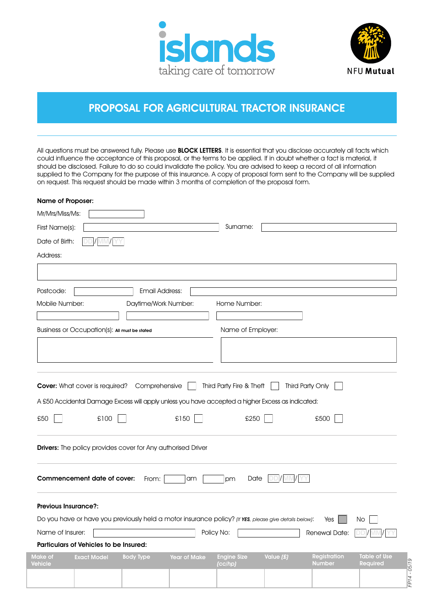



*FP14 - 05/19*

P14 - 05/19

# PROPOSAL FOR AGRICULTURAL TRACTOR INSURANCE

All questions must be answered fully. Please use BLOCK LETTERS. It is essential that you disclose accurately all facts which could influence the acceptance of this proposal, or the terms to be applied. If in doubt whether a fact is material, it should be disclosed. Failure to do so could invalidate the policy. You are advised to keep a record of all information supplied to the Company for the purpose of this insurance. A copy of proposal form sent to the Company will be supplied on request. This request should be made within 3 months of completion of the proposal form.

| Name of Proposer:                                                                                      |                                                                                                            |
|--------------------------------------------------------------------------------------------------------|------------------------------------------------------------------------------------------------------------|
| Mr/Mrs/Miss/Ms:                                                                                        |                                                                                                            |
| First Name(s):                                                                                         | Surname:                                                                                                   |
| Date of Birth:                                                                                         |                                                                                                            |
| Address:                                                                                               |                                                                                                            |
|                                                                                                        |                                                                                                            |
| <b>Email Address:</b><br>Postcode:                                                                     |                                                                                                            |
| Daytime/Work Number:<br>Mobile Number:                                                                 | Home Number:                                                                                               |
|                                                                                                        |                                                                                                            |
| Business or Occupation(s): All must be stated                                                          | Name of Employer:                                                                                          |
|                                                                                                        |                                                                                                            |
|                                                                                                        |                                                                                                            |
|                                                                                                        |                                                                                                            |
| <b>Cover:</b> What cover is required?<br>Comprehensive                                                 | Third Party Fire & Theft<br>Third Party Only                                                               |
| A £50 Accidental Damage Excess will apply unless you have accepted a higher Excess as indicated:       |                                                                                                            |
| £50<br>£100<br>£150                                                                                    | £250<br>£500                                                                                               |
| <b>Drivers:</b> The policy provides cover for Any authorised Driver                                    |                                                                                                            |
| Commencement date of cover:<br>From:<br>am                                                             | Date<br>pm                                                                                                 |
| <b>Previous Insurance?:</b>                                                                            |                                                                                                            |
| Do you have or have you previously held a motor insurance policy? (If YES, please give details below): | Yes<br>No.                                                                                                 |
| Name of Insurer:<br>Policy No:                                                                         | Renewal Date:<br>DD /MM /YY                                                                                |
| Particulars of Vehicles to be Insured:                                                                 |                                                                                                            |
| <b>Body Type</b><br>Make of<br><b>Year of Make</b><br><b>Exact Model</b><br>Vehicle<br>(cc/hp)         | Value (£)<br><b>Engine Size</b><br><b>Table of Use</b><br><b>Registration</b><br>Required<br><b>Number</b> |
|                                                                                                        |                                                                                                            |
|                                                                                                        |                                                                                                            |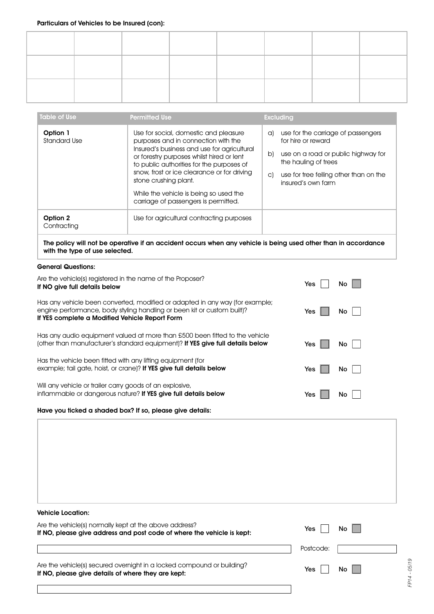| Table of Use                    | <b>Permitted Use</b>                                                                                                                                                                                                                                                                                                                                                            | <b>Excluding</b>                                                                                                                                                                                          |
|---------------------------------|---------------------------------------------------------------------------------------------------------------------------------------------------------------------------------------------------------------------------------------------------------------------------------------------------------------------------------------------------------------------------------|-----------------------------------------------------------------------------------------------------------------------------------------------------------------------------------------------------------|
| Option 1<br><b>Standard Use</b> | Use for social, domestic and pleasure<br>purposes and in connection with the<br>Insured's business and use for agricultural<br>or forestry purposes whilst hired or lent<br>to public authorities for the purposes of<br>snow, frost or ice clearance or for driving<br>stone crushing plant.<br>While the vehicle is being so used the<br>carriage of passengers is permitted. | use for the carriage of passengers<br>a)<br>for hire or reward<br>use on a road or public highway for<br>b)<br>the hauling of trees<br>use for tree felling other than on the<br>C)<br>insured's own farm |
| Option 2<br>Contracting         | Use for agricultural contracting purposes                                                                                                                                                                                                                                                                                                                                       |                                                                                                                                                                                                           |

The policy will not be operative if an accident occurs when any vehicle is being used other than in accordance with the type of use selected.

# General Questions:

| Are the vehicle(s) registered in the name of the Proposer?                                                                                                                                                | Yes              |
|-----------------------------------------------------------------------------------------------------------------------------------------------------------------------------------------------------------|------------------|
| If NO give full details below                                                                                                                                                                             | No               |
| Has any vehicle been converted, modified or adapted in any way (for example;<br>engine performance, body styling handling or been kit or custom built)?<br>If YES complete a Modified Vehicle Report Form | <b>Yes</b><br>No |
| Has any audio equipment valued at more than £500 been fitted to the vehicle                                                                                                                               | <b>Yes</b>       |
| (other than manufacturer's standard equipment)? If YES give full details below                                                                                                                            | No               |
| Has the vehicle been fitted with any lifting equipment (for                                                                                                                                               | <b>Yes</b>       |
| example; tail gate, hoist, or crane)? If YES give full details below                                                                                                                                      | No               |
| Will any vehicle or trailer carry goods of an explosive,                                                                                                                                                  | Yes              |
| inflammable or dangerous nature? If YES give full details below                                                                                                                                           | No.              |
| Have you ficked a shaded box? If so, please give details:                                                                                                                                                 |                  |

Vehicle Location: Are the vehicle(s) normally kept at the above address? If NO, please give address and post code of where the vehicle is kept: Are the vehicle(s) secured overnight in a locked compound or building? If NO, please give details of where they are kept: Postcode: Yes  $\boxed{\phantom{1}}$ Yes<sup>1</sup>  $No$  $\overline{\mathsf{No}}$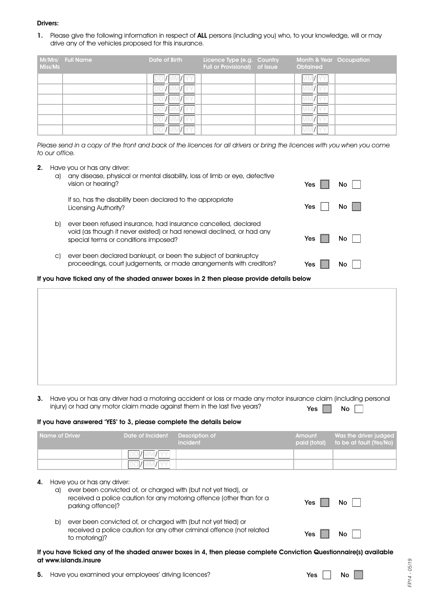## Drivers:

1. Please give the following information in respect of ALL persons (including you) who, to your knowledge, will or may drive any of the vehicles proposed for this insurance.

| Miss/Ms | Mr/Mrs/ Full Name | Date of Birth | Licence Type (e.g. Country<br>Full or Provisional) of Issue | Month & Year Occupation<br>Obtained |  |
|---------|-------------------|---------------|-------------------------------------------------------------|-------------------------------------|--|
|         |                   |               |                                                             |                                     |  |
|         |                   | DDI/I         |                                                             |                                     |  |
|         |                   | DDI/MN        |                                                             |                                     |  |
|         |                   | DDI/L         |                                                             |                                     |  |
|         |                   |               |                                                             |                                     |  |
|         |                   | DDI/MI        |                                                             |                                     |  |

Please send in a copy of the front and back of the licences for all drivers or bring the licences with you when you come to our office.

2. Have you or has any driver:

| a) | any disease, physical or mental disability, loss of limb or eye, defective<br>vision or hearing?                                                                                | Yes | Nο |
|----|---------------------------------------------------------------------------------------------------------------------------------------------------------------------------------|-----|----|
|    | If so, has the disability been declared to the appropriate<br>Licensing Authority?                                                                                              | Yes | Nο |
| b) | ever been refused insurance, had insurance cancelled, declared<br>void (as though it never existed) or had renewal declined, or had any<br>special terms or conditions imposed? | Yes | Nο |
| C) | ever been declared bankrupt, or been the subject of bankruptcy<br>proceedings, court judgements, or made arrangements with creditors?                                           | Yes | Nο |

If you have ticked any of the shaded answer boxes in 2 then please provide details below

3. Have you or has any driver had a motoring accident or loss or made any motor insurance claim (including personal injury) or had any motor claim made against them in the last five years? Yes  $\Box$  No  $\Box$ 

# If you have answered 'YES' to 3, please complete the details below

| Name of Driver | Date of Incident | <b>Description of</b><br>incident | Amount<br>paid (total) | , Was the driver judged l<br>to be at fault (Yes/No) |
|----------------|------------------|-----------------------------------|------------------------|------------------------------------------------------|
|                |                  |                                   |                        |                                                      |
|                |                  |                                   |                        |                                                      |
|                |                  |                                   |                        |                                                      |

| 4. |  |  |  |  |  | Have you or has any driver: |
|----|--|--|--|--|--|-----------------------------|
|----|--|--|--|--|--|-----------------------------|

| a) ever been convicted of, or charged with (but not yet tried), or   |
|----------------------------------------------------------------------|
| received a police caution for any motoring offence (other than for a |
| parking offence)?                                                    |

| b) ever been convicted of, or charged with (but not yet tried) or     |
|-----------------------------------------------------------------------|
| received a police caution for any other criminal offence (not related |
| to motorina)?                                                         |

#### If you have ticked any of the shaded answer boxes in 4, then please complete Conviction Questionnaire(s) available at www.islands.insure

5. Have you examined your employees' driving licences?

| Yes<br>Nο |  |
|-----------|--|
|-----------|--|

Yes  $\Box$ 

Yes | | No

No  $\Box$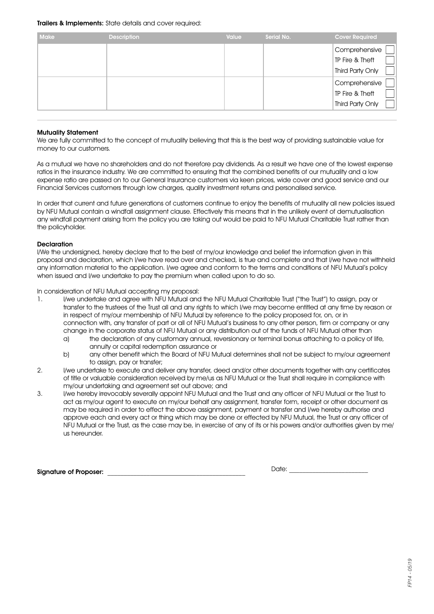# Trailers & Implements: State details and cover required:

| <b>Make</b> | <b>Description</b> | <b>Value</b> | Serial No. | <b>Cover Required</b> |
|-------------|--------------------|--------------|------------|-----------------------|
|             |                    |              |            | Comprehensive         |
|             |                    |              |            | TP Fire & Theft       |
|             |                    |              |            | Third Party Only      |
|             |                    |              |            | Comprehensive         |
|             |                    |              |            | TP Fire & Theft       |
|             |                    |              |            | Third Party Only      |

# Mutuality Statement

We are fully committed to the concept of mutuality believing that this is the best way of providing sustainable value for money to our customers.

As a mutual we have no shareholders and do not therefore pay dividends. As a result we have one of the lowest expense ratios in the insurance industry. We are committed to ensuring that the combined benefits of our mutuality and a low expense ratio are passed on to our General Insurance customers via keen prices, wide cover and good service and our Financial Services customers through low charges, quality investment returns and personalised service.

In order that current and future generations of customers continue to enjoy the benefits of mutuality all new policies issued by NFU Mutual contain a windfall assignment clause. Effectively this means that in the unlikely event of demutualisation any windfall payment arising from the policy you are taking out would be paid to NFU Mutual Charitable Trust rather than the policyholder.

# **Declaration**

I/We the undersigned, hereby declare that to the best of my/our knowledge and belief the information given in this proposal and declaration, which I/we have read over and checked, is true and complete and that I/we have not withheld any information material to the application. I/we agree and conform to the terms and conditions of NFU Mutual's policy when issued and I/we undertake to pay the premium when called upon to do so.

In consideration of NFU Mutual accepting my proposal:

- 1. I/we undertake and agree with NFU Mutual and the NFU Mutual Charitable Trust ("the Trust") to assign, pay or transfer to the trustees of the Trust all and any rights to which I/we may become entitled at any time by reason or in respect of my/our membership of NFU Mutual by reference to the policy proposed for, on, or in connection with, any transfer of part or all of NFU Mutual's business to any other person, firm or company or any change in the corporate status of NFU Mutual or any distribution out of the funds of NFU Mutual other than
	- a) the declaration of any customary annual, reversionary or terminal bonus attaching to a policy of life, annuity or capital redemption assurance or
	- b) any other benefit which the Board of NFU Mutual determines shall not be subject to my/our agreement to assign, pay or transfer;
- 2. I/we undertake to execute and deliver any transfer, deed and/or other documents together with any certificates of title or valuable consideration received by me/us as NFU Mutual or the Trust shall require in compliance with my/our undertaking and agreement set out above; and
- 3. I/we hereby irrevocably severally appoint NFU Mutual and the Trust and any officer of NFU Mutual or the Trust to act as my/our agent to execute on my/our behalf any assignment, transfer form, receipt or other document as may be required in order to effect the above assignment, payment or transfer and I/we hereby authorise and approve each and every act or thing which may be done or effected by NFU Mutual, the Trust or any officer of NFU Mutual or the Trust, as the case may be, in exercise of any of its or his powers and/or authorities given by me/ us hereunder.

Signature of Proposer: